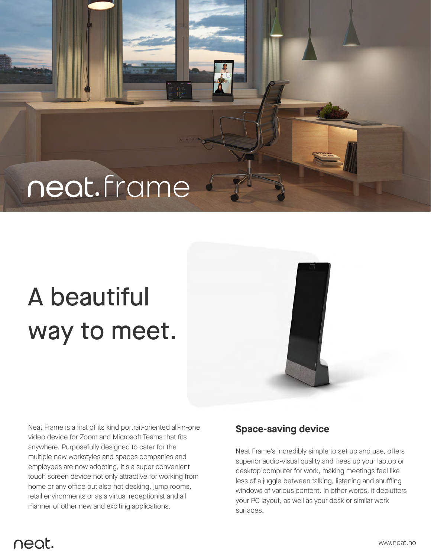## neat.frame

# A beautiful way to meet.

Neat Frame is a first of its kind portrait-oriented all-in-one video device for Zoom and Microsoft Teams that fits anywhere. Purposefully designed to cater for the multiple new workstyles and spaces companies and employees are now adopting, it's a super convenient touch screen device not only attractive for working from home or any office but also hot desking, jump rooms, retail environments or as a virtual receptionist and all manner of other new and exciting applications.

#### **Space-saving device**

Neat Frame's incredibly simple to set up and use, offers superior audio-visual quality and frees up your laptop or desktop computer for work, making meetings feel like less of a juggle between talking, listening and shuffling windows of various content. In other words, it declutters your PC layout, as well as your desk or similar work surfaces.

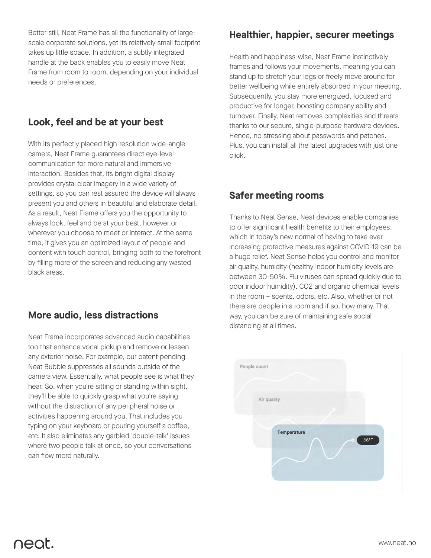Better still, Neat Frame has all the functionality of largescale corporate solutions, yet its relatively small footprint takes up little space. In addition, a subtly integrated handle at the back enables you to easily move Neat Frame from room to room, depending on your individual needs or preferences.

## **Look, feel and be at your best**

With its perfectly placed high-resolution wide-angle camera, Neat Frame guarantees direct eye-level communication for more natural and immersive interaction. Besides that, its bright digital display provides crystal clear imagery in a wide variety of settings, so you can rest assured the device will always present you and others in beautiful and elaborate detail. As a result, Neat Frame offers you the opportunity to always look, feel and be at your best, however or wherever you choose to meet or interact. At the same time, it gives you an optimized layout of people and content with touch control, bringing both to the forefront by filling more of the screen and reducing any wasted black areas.

## **More audio, less distractions**

Neat Frame incorporates advanced audio capabilities too that enhance vocal pickup and remove or lessen any exterior noise. For example, our patent-pending Neat Bubble suppresses all sounds outside of the camera view. Essentially, what people see is what they hear. So, when you're sitting or standing within sight, they'll be able to quickly grasp what you're saying without the distraction of any peripheral noise or activities happening around you. That includes you typing on your keyboard or pouring yourself a coffee, etc. It also eliminates any garbled 'double-talk' issues where two people talk at once, so your conversations can flow more naturally.

#### **Healthier, happier, securer meetings**

Health and happiness-wise, Neat Frame instinctively frames and follows your movements, meaning you can stand up to stretch your legs or freely move around for better wellbeing while entirely absorbed in your meeting. Subsequently, you stay more energized, focused and productive for longer, boosting company ability and turnover. Finally, Neat removes complexities and threats thanks to our secure, single-purpose hardware devices. Hence, no stressing about passwords and patches. Plus, you can install all the latest upgrades with just one click.

## **Safer meeting rooms**

Thanks to Neat Sense, Neat devices enable companies to offer significant health benefits to their employees, which in today's new normal of having to take everincreasing protective measures against COVID-19 can be a huge relief. Neat Sense helps you control and monitor air quality, humidity (healthy indoor humidity levels are between 30-50%. Flu viruses can spread quickly due to poor indoor humidity), CO2 and organic chemical levels in the room – scents, odors, etc. Also, whether or not there are people in a room and if so, how many. That way, you can be sure of maintaining safe social distancing at all times.